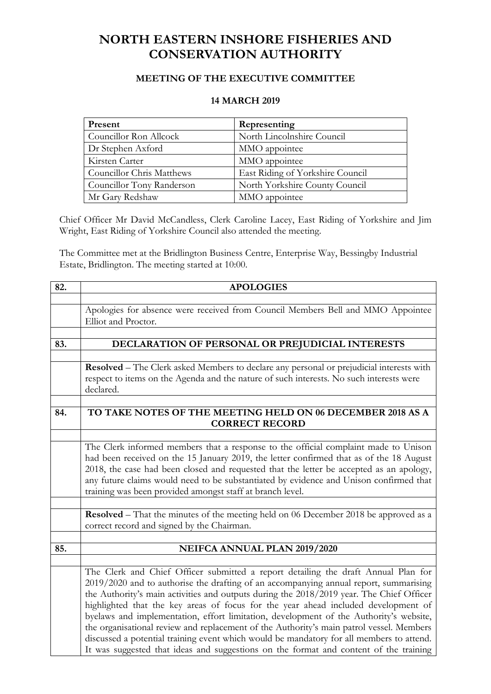## **NORTH EASTERN INSHORE FISHERIES AND CONSERVATION AUTHORITY**

## **MEETING OF THE EXECUTIVE COMMITTEE**

## **14 MARCH 2019**

| Present                   | Representing                     |
|---------------------------|----------------------------------|
| Councillor Ron Allcock    | North Lincolnshire Council       |
| Dr Stephen Axford         | MMO appointee                    |
| Kirsten Carter            | MMO appointee                    |
| Councillor Chris Matthews | East Riding of Yorkshire Council |
| Councillor Tony Randerson | North Yorkshire County Council   |
| Mr Gary Redshaw           | MMO appointee                    |

Chief Officer Mr David McCandless, Clerk Caroline Lacey, East Riding of Yorkshire and Jim Wright, East Riding of Yorkshire Council also attended the meeting.

The Committee met at the Bridlington Business Centre, Enterprise Way, Bessingby Industrial Estate, Bridlington. The meeting started at 10:00.

| 82. | <b>APOLOGIES</b>                                                                                     |  |  |  |
|-----|------------------------------------------------------------------------------------------------------|--|--|--|
|     |                                                                                                      |  |  |  |
|     | Apologies for absence were received from Council Members Bell and MMO Appointee                      |  |  |  |
|     | Elliot and Proctor.                                                                                  |  |  |  |
|     |                                                                                                      |  |  |  |
| 83. | DECLARATION OF PERSONAL OR PREJUDICIAL INTERESTS                                                     |  |  |  |
|     |                                                                                                      |  |  |  |
|     | Resolved - The Clerk asked Members to declare any personal or prejudicial interests with             |  |  |  |
|     | respect to items on the Agenda and the nature of such interests. No such interests were<br>declared. |  |  |  |
|     |                                                                                                      |  |  |  |
| 84. | TO TAKE NOTES OF THE MEETING HELD ON 06 DECEMBER 2018 AS A<br><b>CORRECT RECORD</b>                  |  |  |  |
|     |                                                                                                      |  |  |  |
|     |                                                                                                      |  |  |  |
|     | The Clerk informed members that a response to the official complaint made to Unison                  |  |  |  |
|     | had been received on the 15 January 2019, the letter confirmed that as of the 18 August              |  |  |  |
|     | 2018, the case had been closed and requested that the letter be accepted as an apology,              |  |  |  |
|     | any future claims would need to be substantiated by evidence and Unison confirmed that               |  |  |  |
|     | training was been provided amongst staff at branch level.                                            |  |  |  |
|     |                                                                                                      |  |  |  |
|     | <b>Resolved</b> – That the minutes of the meeting held on 06 December 2018 be approved as a          |  |  |  |
|     | correct record and signed by the Chairman.                                                           |  |  |  |
| 85. | NEIFCA ANNUAL PLAN 2019/2020                                                                         |  |  |  |
|     |                                                                                                      |  |  |  |
|     | The Clerk and Chief Officer submitted a report detailing the draft Annual Plan for                   |  |  |  |
|     | 2019/2020 and to authorise the drafting of an accompanying annual report, summarising                |  |  |  |
|     | the Authority's main activities and outputs during the 2018/2019 year. The Chief Officer             |  |  |  |
|     | highlighted that the key areas of focus for the year ahead included development of                   |  |  |  |
|     | byelaws and implementation, effort limitation, development of the Authority's website,               |  |  |  |
|     | the organisational review and replacement of the Authority's main patrol vessel. Members             |  |  |  |
|     | discussed a potential training event which would be mandatory for all members to attend.             |  |  |  |
|     | It was suggested that ideas and suggestions on the format and content of the training                |  |  |  |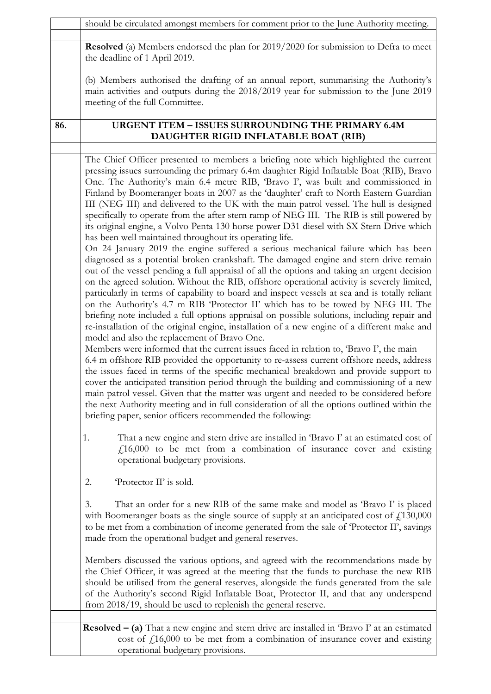|     | should be circulated amongst members for comment prior to the June Authority meeting.                                                                                                                                                                                                                                                                                                                                                                                                                                                                                                                                                                                                                                                                                                                                                                                                                                                                                                                                                                                                                                                                                                                                                                                                                                                                                                                                                                                                                                                                                                                                                                                                                                   |  |
|-----|-------------------------------------------------------------------------------------------------------------------------------------------------------------------------------------------------------------------------------------------------------------------------------------------------------------------------------------------------------------------------------------------------------------------------------------------------------------------------------------------------------------------------------------------------------------------------------------------------------------------------------------------------------------------------------------------------------------------------------------------------------------------------------------------------------------------------------------------------------------------------------------------------------------------------------------------------------------------------------------------------------------------------------------------------------------------------------------------------------------------------------------------------------------------------------------------------------------------------------------------------------------------------------------------------------------------------------------------------------------------------------------------------------------------------------------------------------------------------------------------------------------------------------------------------------------------------------------------------------------------------------------------------------------------------------------------------------------------------|--|
|     |                                                                                                                                                                                                                                                                                                                                                                                                                                                                                                                                                                                                                                                                                                                                                                                                                                                                                                                                                                                                                                                                                                                                                                                                                                                                                                                                                                                                                                                                                                                                                                                                                                                                                                                         |  |
|     | <b>Resolved</b> (a) Members endorsed the plan for 2019/2020 for submission to Defra to meet<br>the deadline of 1 April 2019.                                                                                                                                                                                                                                                                                                                                                                                                                                                                                                                                                                                                                                                                                                                                                                                                                                                                                                                                                                                                                                                                                                                                                                                                                                                                                                                                                                                                                                                                                                                                                                                            |  |
|     | (b) Members authorised the drafting of an annual report, summarising the Authority's<br>main activities and outputs during the 2018/2019 year for submission to the June 2019<br>meeting of the full Committee.                                                                                                                                                                                                                                                                                                                                                                                                                                                                                                                                                                                                                                                                                                                                                                                                                                                                                                                                                                                                                                                                                                                                                                                                                                                                                                                                                                                                                                                                                                         |  |
|     |                                                                                                                                                                                                                                                                                                                                                                                                                                                                                                                                                                                                                                                                                                                                                                                                                                                                                                                                                                                                                                                                                                                                                                                                                                                                                                                                                                                                                                                                                                                                                                                                                                                                                                                         |  |
| 86. | <b>URGENT ITEM - ISSUES SURROUNDING THE PRIMARY 6.4M</b><br>DAUGHTER RIGID INFLATABLE BOAT (RIB)                                                                                                                                                                                                                                                                                                                                                                                                                                                                                                                                                                                                                                                                                                                                                                                                                                                                                                                                                                                                                                                                                                                                                                                                                                                                                                                                                                                                                                                                                                                                                                                                                        |  |
|     |                                                                                                                                                                                                                                                                                                                                                                                                                                                                                                                                                                                                                                                                                                                                                                                                                                                                                                                                                                                                                                                                                                                                                                                                                                                                                                                                                                                                                                                                                                                                                                                                                                                                                                                         |  |
|     | The Chief Officer presented to members a briefing note which highlighted the current<br>pressing issues surrounding the primary 6.4m daughter Rigid Inflatable Boat (RIB), Bravo<br>One. The Authority's main 6.4 metre RIB, 'Bravo I', was built and commissioned in<br>Finland by Boomeranger boats in 2007 as the 'daughter' craft to North Eastern Guardian<br>III (NEG III) and delivered to the UK with the main patrol vessel. The hull is designed<br>specifically to operate from the after stern ramp of NEG III. The RIB is still powered by<br>its original engine, a Volvo Penta 130 horse power D31 diesel with SX Stern Drive which<br>has been well maintained throughout its operating life.<br>On 24 January 2019 the engine suffered a serious mechanical failure which has been<br>diagnosed as a potential broken crankshaft. The damaged engine and stern drive remain<br>out of the vessel pending a full appraisal of all the options and taking an urgent decision<br>on the agreed solution. Without the RIB, offshore operational activity is severely limited,<br>particularly in terms of capability to board and inspect vessels at sea and is totally reliant<br>on the Authority's 4.7 m RIB 'Protector II' which has to be towed by NEG III. The<br>briefing note included a full options appraisal on possible solutions, including repair and<br>re-installation of the original engine, installation of a new engine of a different make and<br>model and also the replacement of Bravo One.<br>Members were informed that the current issues faced in relation to, 'Bravo I', the main<br>6.4 m offshore RIB provided the opportunity to re-assess current offshore needs, address |  |
|     | the issues faced in terms of the specific mechanical breakdown and provide support to<br>cover the anticipated transition period through the building and commissioning of a new<br>main patrol vessel. Given that the matter was urgent and needed to be considered before<br>the next Authority meeting and in full consideration of all the options outlined within the<br>briefing paper, senior officers recommended the following:                                                                                                                                                                                                                                                                                                                                                                                                                                                                                                                                                                                                                                                                                                                                                                                                                                                                                                                                                                                                                                                                                                                                                                                                                                                                                |  |
|     | That a new engine and stern drive are installed in 'Bravo I' at an estimated cost of<br>1.<br>$f_{\rm L}16,000$ to be met from a combination of insurance cover and existing<br>operational budgetary provisions.                                                                                                                                                                                                                                                                                                                                                                                                                                                                                                                                                                                                                                                                                                                                                                                                                                                                                                                                                                                                                                                                                                                                                                                                                                                                                                                                                                                                                                                                                                       |  |
|     | 'Protector II' is sold.<br>2.                                                                                                                                                                                                                                                                                                                                                                                                                                                                                                                                                                                                                                                                                                                                                                                                                                                                                                                                                                                                                                                                                                                                                                                                                                                                                                                                                                                                                                                                                                                                                                                                                                                                                           |  |
|     | That an order for a new RIB of the same make and model as 'Bravo I' is placed<br>3.<br>with Boomeranger boats as the single source of supply at an anticipated cost of $\text{\textsterling}130,000$<br>to be met from a combination of income generated from the sale of 'Protector II', savings<br>made from the operational budget and general reserves.                                                                                                                                                                                                                                                                                                                                                                                                                                                                                                                                                                                                                                                                                                                                                                                                                                                                                                                                                                                                                                                                                                                                                                                                                                                                                                                                                             |  |
|     | Members discussed the various options, and agreed with the recommendations made by<br>the Chief Officer, it was agreed at the meeting that the funds to purchase the new RIB<br>should be utilised from the general reserves, alongside the funds generated from the sale<br>of the Authority's second Rigid Inflatable Boat, Protector II, and that any underspend<br>from 2018/19, should be used to replenish the general reserve.                                                                                                                                                                                                                                                                                                                                                                                                                                                                                                                                                                                                                                                                                                                                                                                                                                                                                                                                                                                                                                                                                                                                                                                                                                                                                   |  |
|     |                                                                                                                                                                                                                                                                                                                                                                                                                                                                                                                                                                                                                                                                                                                                                                                                                                                                                                                                                                                                                                                                                                                                                                                                                                                                                                                                                                                                                                                                                                                                                                                                                                                                                                                         |  |
|     | Resolved - (a) That a new engine and stern drive are installed in 'Bravo I' at an estimated<br>cost of $f_1$ 16,000 to be met from a combination of insurance cover and existing<br>operational budgetary provisions.                                                                                                                                                                                                                                                                                                                                                                                                                                                                                                                                                                                                                                                                                                                                                                                                                                                                                                                                                                                                                                                                                                                                                                                                                                                                                                                                                                                                                                                                                                   |  |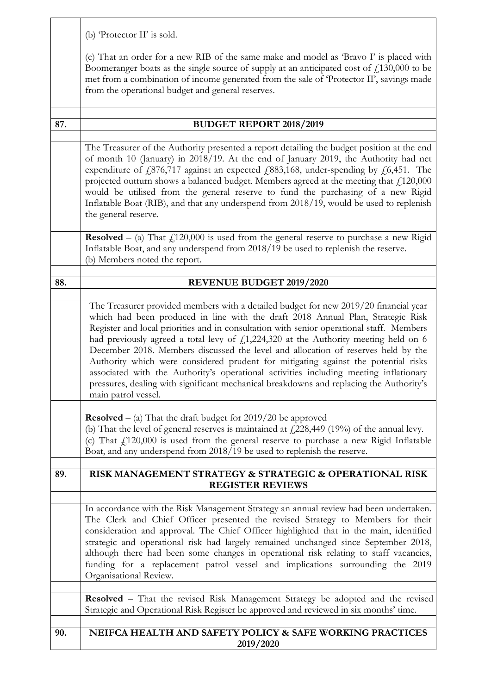(b) 'Protector II' is sold.

(c) That an order for a new RIB of the same make and model as 'Bravo I' is placed with Boomeranger boats as the single source of supply at an anticipated cost of  $f<sub>1</sub>130,000$  to be met from a combination of income generated from the sale of 'Protector II', savings made from the operational budget and general reserves.

| 87. | <b>BUDGET REPORT 2018/2019</b>                                                                                                                                                                                                                                                                                                                                                                                                                                                                                                                                                                                                                                                                                                                         |  |
|-----|--------------------------------------------------------------------------------------------------------------------------------------------------------------------------------------------------------------------------------------------------------------------------------------------------------------------------------------------------------------------------------------------------------------------------------------------------------------------------------------------------------------------------------------------------------------------------------------------------------------------------------------------------------------------------------------------------------------------------------------------------------|--|
|     |                                                                                                                                                                                                                                                                                                                                                                                                                                                                                                                                                                                                                                                                                                                                                        |  |
|     | The Treasurer of the Authority presented a report detailing the budget position at the end<br>of month 10 (January) in 2018/19. At the end of January 2019, the Authority had net<br>expenditure of £876,717 against an expected £883,168, under-spending by £6,451. The<br>projected outturn shows a balanced budget. Members agreed at the meeting that $\text{\textsterling}120,\!000$<br>would be utilised from the general reserve to fund the purchasing of a new Rigid<br>Inflatable Boat (RIB), and that any underspend from 2018/19, would be used to replenish<br>the general reserve.                                                                                                                                                       |  |
|     | <b>Resolved</b> – (a) That $f_{120,000}$ is used from the general reserve to purchase a new Rigid                                                                                                                                                                                                                                                                                                                                                                                                                                                                                                                                                                                                                                                      |  |
|     | Inflatable Boat, and any underspend from 2018/19 be used to replenish the reserve.<br>(b) Members noted the report.                                                                                                                                                                                                                                                                                                                                                                                                                                                                                                                                                                                                                                    |  |
|     |                                                                                                                                                                                                                                                                                                                                                                                                                                                                                                                                                                                                                                                                                                                                                        |  |
| 88. | <b>REVENUE BUDGET 2019/2020</b>                                                                                                                                                                                                                                                                                                                                                                                                                                                                                                                                                                                                                                                                                                                        |  |
|     |                                                                                                                                                                                                                                                                                                                                                                                                                                                                                                                                                                                                                                                                                                                                                        |  |
|     | The Treasurer provided members with a detailed budget for new 2019/20 financial year<br>which had been produced in line with the draft 2018 Annual Plan, Strategic Risk<br>Register and local priorities and in consultation with senior operational staff. Members<br>had previously agreed a total levy of $f_1$ , 224, 320 at the Authority meeting held on 6<br>December 2018. Members discussed the level and allocation of reserves held by the<br>Authority which were considered prudent for mitigating against the potential risks<br>associated with the Authority's operational activities including meeting inflationary<br>pressures, dealing with significant mechanical breakdowns and replacing the Authority's<br>main patrol vessel. |  |
|     | <b>Resolved</b> $-$ (a) That the draft budget for 2019/20 be approved                                                                                                                                                                                                                                                                                                                                                                                                                                                                                                                                                                                                                                                                                  |  |
|     | (b) That the level of general reserves is maintained at $\angle$ 228,449 (19%) of the annual levy.<br>(c) That $f_1$ 120,000 is used from the general reserve to purchase a new Rigid Inflatable<br>Boat, and any underspend from 2018/19 be used to replenish the reserve.                                                                                                                                                                                                                                                                                                                                                                                                                                                                            |  |
|     |                                                                                                                                                                                                                                                                                                                                                                                                                                                                                                                                                                                                                                                                                                                                                        |  |
| 89. | RISK MANAGEMENT STRATEGY & STRATEGIC & OPERATIONAL RISK                                                                                                                                                                                                                                                                                                                                                                                                                                                                                                                                                                                                                                                                                                |  |
|     | <b>REGISTER REVIEWS</b>                                                                                                                                                                                                                                                                                                                                                                                                                                                                                                                                                                                                                                                                                                                                |  |
|     | In accordance with the Risk Management Strategy an annual review had been undertaken.<br>The Clerk and Chief Officer presented the revised Strategy to Members for their<br>consideration and approval. The Chief Officer highlighted that in the main, identified<br>strategic and operational risk had largely remained unchanged since September 2018,<br>although there had been some changes in operational risk relating to staff vacancies,<br>funding for a replacement patrol vessel and implications surrounding the 2019<br>Organisational Review.                                                                                                                                                                                          |  |
|     |                                                                                                                                                                                                                                                                                                                                                                                                                                                                                                                                                                                                                                                                                                                                                        |  |
|     | <b>Resolved</b> - That the revised Risk Management Strategy be adopted and the revised<br>Strategic and Operational Risk Register be approved and reviewed in six months' time.                                                                                                                                                                                                                                                                                                                                                                                                                                                                                                                                                                        |  |
| 90. | NEIFCA HEALTH AND SAFETY POLICY & SAFE WORKING PRACTICES                                                                                                                                                                                                                                                                                                                                                                                                                                                                                                                                                                                                                                                                                               |  |
|     | 2019/2020                                                                                                                                                                                                                                                                                                                                                                                                                                                                                                                                                                                                                                                                                                                                              |  |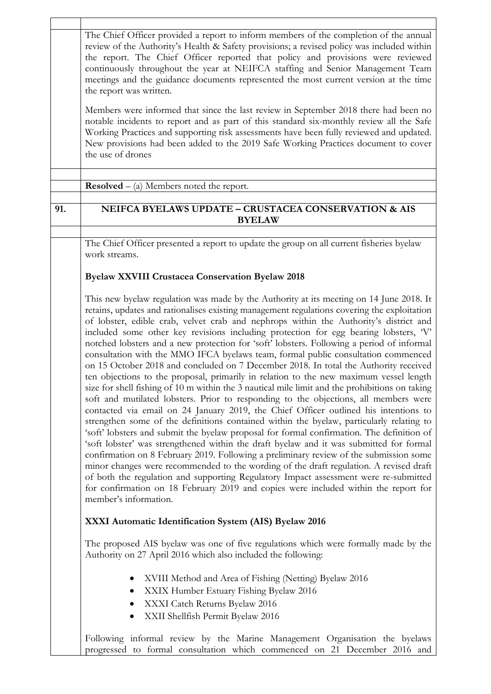|                                                                                                                                                                                                                                                                                                                                                                                                                                                                                                                                                                                                                                                                                                                                                                                                                                                                                                                                                                                                                                                                                                                                                                                                                                                                                                                                                                                                                                                                                                                                                                                                                                                                                                              | The Chief Officer provided a report to inform members of the completion of the annual<br>review of the Authority's Health & Safety provisions; a revised policy was included within<br>the report. The Chief Officer reported that policy and provisions were reviewed<br>continuously throughout the year at NEIFCA staffing and Senior Management Team<br>meetings and the guidance documents represented the most current version at the time<br>the report was written.<br>Members were informed that since the last review in September 2018 there had been no<br>notable incidents to report and as part of this standard six-monthly review all the Safe<br>Working Practices and supporting risk assessments have been fully reviewed and updated.<br>New provisions had been added to the 2019 Safe Working Practices document to cover<br>the use of drones |  |  |  |
|--------------------------------------------------------------------------------------------------------------------------------------------------------------------------------------------------------------------------------------------------------------------------------------------------------------------------------------------------------------------------------------------------------------------------------------------------------------------------------------------------------------------------------------------------------------------------------------------------------------------------------------------------------------------------------------------------------------------------------------------------------------------------------------------------------------------------------------------------------------------------------------------------------------------------------------------------------------------------------------------------------------------------------------------------------------------------------------------------------------------------------------------------------------------------------------------------------------------------------------------------------------------------------------------------------------------------------------------------------------------------------------------------------------------------------------------------------------------------------------------------------------------------------------------------------------------------------------------------------------------------------------------------------------------------------------------------------------|-----------------------------------------------------------------------------------------------------------------------------------------------------------------------------------------------------------------------------------------------------------------------------------------------------------------------------------------------------------------------------------------------------------------------------------------------------------------------------------------------------------------------------------------------------------------------------------------------------------------------------------------------------------------------------------------------------------------------------------------------------------------------------------------------------------------------------------------------------------------------|--|--|--|
|                                                                                                                                                                                                                                                                                                                                                                                                                                                                                                                                                                                                                                                                                                                                                                                                                                                                                                                                                                                                                                                                                                                                                                                                                                                                                                                                                                                                                                                                                                                                                                                                                                                                                                              |                                                                                                                                                                                                                                                                                                                                                                                                                                                                                                                                                                                                                                                                                                                                                                                                                                                                       |  |  |  |
|                                                                                                                                                                                                                                                                                                                                                                                                                                                                                                                                                                                                                                                                                                                                                                                                                                                                                                                                                                                                                                                                                                                                                                                                                                                                                                                                                                                                                                                                                                                                                                                                                                                                                                              | <b>Resolved</b> $-$ (a) Members noted the report.                                                                                                                                                                                                                                                                                                                                                                                                                                                                                                                                                                                                                                                                                                                                                                                                                     |  |  |  |
| 91.                                                                                                                                                                                                                                                                                                                                                                                                                                                                                                                                                                                                                                                                                                                                                                                                                                                                                                                                                                                                                                                                                                                                                                                                                                                                                                                                                                                                                                                                                                                                                                                                                                                                                                          | NEIFCA BYELAWS UPDATE - CRUSTACEA CONSERVATION & AIS<br><b>BYELAW</b>                                                                                                                                                                                                                                                                                                                                                                                                                                                                                                                                                                                                                                                                                                                                                                                                 |  |  |  |
|                                                                                                                                                                                                                                                                                                                                                                                                                                                                                                                                                                                                                                                                                                                                                                                                                                                                                                                                                                                                                                                                                                                                                                                                                                                                                                                                                                                                                                                                                                                                                                                                                                                                                                              |                                                                                                                                                                                                                                                                                                                                                                                                                                                                                                                                                                                                                                                                                                                                                                                                                                                                       |  |  |  |
|                                                                                                                                                                                                                                                                                                                                                                                                                                                                                                                                                                                                                                                                                                                                                                                                                                                                                                                                                                                                                                                                                                                                                                                                                                                                                                                                                                                                                                                                                                                                                                                                                                                                                                              | The Chief Officer presented a report to update the group on all current fisheries byelaw<br>work streams.                                                                                                                                                                                                                                                                                                                                                                                                                                                                                                                                                                                                                                                                                                                                                             |  |  |  |
|                                                                                                                                                                                                                                                                                                                                                                                                                                                                                                                                                                                                                                                                                                                                                                                                                                                                                                                                                                                                                                                                                                                                                                                                                                                                                                                                                                                                                                                                                                                                                                                                                                                                                                              | <b>Byelaw XXVIII Crustacea Conservation Byelaw 2018</b>                                                                                                                                                                                                                                                                                                                                                                                                                                                                                                                                                                                                                                                                                                                                                                                                               |  |  |  |
| This new byelaw regulation was made by the Authority at its meeting on 14 June 2018. It<br>retains, updates and rationalises existing management regulations covering the exploitation<br>of lobster, edible crab, velvet crab and nephrops within the Authority's district and<br>included some other key revisions including protection for egg bearing lobsters, V'<br>notched lobsters and a new protection for 'soft' lobsters. Following a period of informal<br>consultation with the MMO IFCA byelaws team, formal public consultation commenced<br>on 15 October 2018 and concluded on 7 December 2018. In total the Authority received<br>ten objections to the proposal, primarily in relation to the new maximum vessel length<br>size for shell fishing of 10 m within the 3 nautical mile limit and the prohibitions on taking<br>soft and mutilated lobsters. Prior to responding to the objections, all members were<br>contacted via email on 24 January 2019, the Chief Officer outlined his intentions to<br>strengthen some of the definitions contained within the byelaw, particularly relating to<br>'soft' lobsters and submit the byelaw proposal for formal confirmation. The definition of<br>'soft lobster' was strengthened within the draft byelaw and it was submitted for formal<br>confirmation on 8 February 2019. Following a preliminary review of the submission some<br>minor changes were recommended to the wording of the draft regulation. A revised draft<br>of both the regulation and supporting Regulatory Impact assessment were re-submitted<br>for confirmation on 18 February 2019 and copies were included within the report for<br>member's information. |                                                                                                                                                                                                                                                                                                                                                                                                                                                                                                                                                                                                                                                                                                                                                                                                                                                                       |  |  |  |
|                                                                                                                                                                                                                                                                                                                                                                                                                                                                                                                                                                                                                                                                                                                                                                                                                                                                                                                                                                                                                                                                                                                                                                                                                                                                                                                                                                                                                                                                                                                                                                                                                                                                                                              | XXXI Automatic Identification System (AIS) Byelaw 2016                                                                                                                                                                                                                                                                                                                                                                                                                                                                                                                                                                                                                                                                                                                                                                                                                |  |  |  |
| The proposed AIS byelaw was one of five regulations which were formally made by the<br>Authority on 27 April 2016 which also included the following:                                                                                                                                                                                                                                                                                                                                                                                                                                                                                                                                                                                                                                                                                                                                                                                                                                                                                                                                                                                                                                                                                                                                                                                                                                                                                                                                                                                                                                                                                                                                                         |                                                                                                                                                                                                                                                                                                                                                                                                                                                                                                                                                                                                                                                                                                                                                                                                                                                                       |  |  |  |
|                                                                                                                                                                                                                                                                                                                                                                                                                                                                                                                                                                                                                                                                                                                                                                                                                                                                                                                                                                                                                                                                                                                                                                                                                                                                                                                                                                                                                                                                                                                                                                                                                                                                                                              | XVIII Method and Area of Fishing (Netting) Byelaw 2016<br>XXIX Humber Estuary Fishing Byelaw 2016<br>XXXI Catch Returns Byelaw 2016<br>$\bullet$<br>XXII Shellfish Permit Byelaw 2016                                                                                                                                                                                                                                                                                                                                                                                                                                                                                                                                                                                                                                                                                 |  |  |  |
|                                                                                                                                                                                                                                                                                                                                                                                                                                                                                                                                                                                                                                                                                                                                                                                                                                                                                                                                                                                                                                                                                                                                                                                                                                                                                                                                                                                                                                                                                                                                                                                                                                                                                                              | Following informal review by the Marine Management Organisation the byelaws<br>progressed to formal consultation which commenced on 21 December 2016 and                                                                                                                                                                                                                                                                                                                                                                                                                                                                                                                                                                                                                                                                                                              |  |  |  |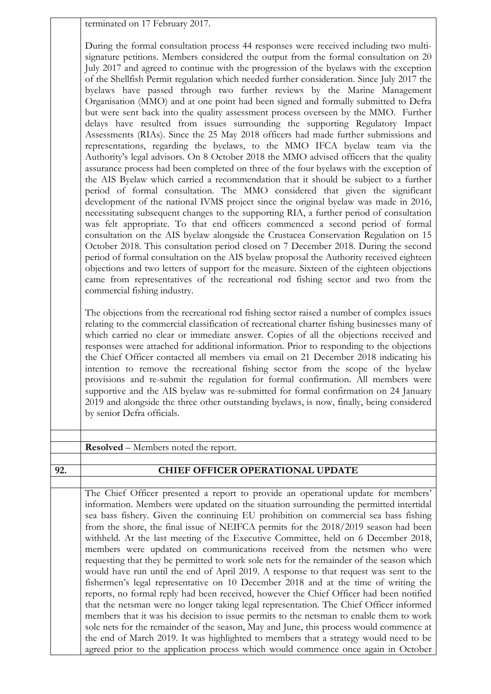terminated on 17 February 2017.

During the formal consultation process 44 responses were received including two multisignature petitions. Members considered the output from the formal consultation on 20 July 2017 and agreed to continue with the progression of the byelaws with the exception of the Shellfish Permit regulation which needed further consideration. Since July 2017 the byelaws have passed through two further reviews by the Marine Management Organisation (MMO) and at one point had been signed and formally submitted to Defra but were sent back into the quality assessment process overseen by the MMO. Further delays have resulted from issues surrounding the supporting Regulatory Impact Assessments (RIAs). Since the 25 May 2018 officers had made further submissions and representations, regarding the byelaws, to the MMO IFCA byelaw team via the Authority's legal advisors. On 8 October 2018 the MMO advised officers that the quality assurance process had been completed on three of the four byelaws with the exception of the AIS Byelaw which carried a recommendation that it should be subject to a further period of formal consultation. The MMO considered that given the significant development of the national IVMS project since the original byelaw was made in 2016, necessitating subsequent changes to the supporting RIA, a further period of consultation was felt appropriate. To that end officers commenced a second period of formal consultation on the AIS byelaw alongside the Crustacea Conservation Regulation on 15 October 2018. This consultation period closed on 7 December 2018. During the second period of formal consultation on the AIS byelaw proposal the Authority received eighteen objections and two letters of support for the measure. Sixteen of the eighteen objections came from representatives of the recreational rod fishing sector and two from the commercial fishing industry.

The objections from the recreational rod fishing sector raised a number of complex issues relating to the commercial classification of recreational charter fishing businesses many of which carried no clear or immediate answer. Copies of all the objections received and responses were attached for additional information. Prior to responding to the objections the Chief Officer contacted all members via email on 21 December 2018 indicating his intention to remove the recreational fishing sector from the scope of the byelaw provisions and re-submit the regulation for formal confirmation. All members were supportive and the AIS byelaw was re-submitted for formal confirmation on 24 January 2019 and alongside the three other outstanding byelaws, is now, finally, being considered by senior Defra officials.

|  | Resolved – Members noted the report. |  |
|--|--------------------------------------|--|
|--|--------------------------------------|--|

## **92. CHIEF OFFICER OPERATIONAL UPDATE**

The Chief Officer presented a report to provide an operational update for members' information. Members were updated on the situation surrounding the permitted intertidal sea bass fishery. Given the continuing EU prohibition on commercial sea bass fishing from the shore, the final issue of NEIFCA permits for the 2018/2019 season had been withheld. At the last meeting of the Executive Committee, held on 6 December 2018, members were updated on communications received from the netsmen who were requesting that they be permitted to work sole nets for the remainder of the season which would have run until the end of April 2019. A response to that request was sent to the fishermen's legal representative on 10 December 2018 and at the time of writing the reports, no formal reply had been received, however the Chief Officer had been notified that the netsman were no longer taking legal representation. The Chief Officer informed members that it was his decision to issue permits to the netsman to enable them to work sole nets for the remainder of the season, May and June, this process would commence at the end of March 2019. It was highlighted to members that a strategy would need to be agreed prior to the application process which would commence once again in October